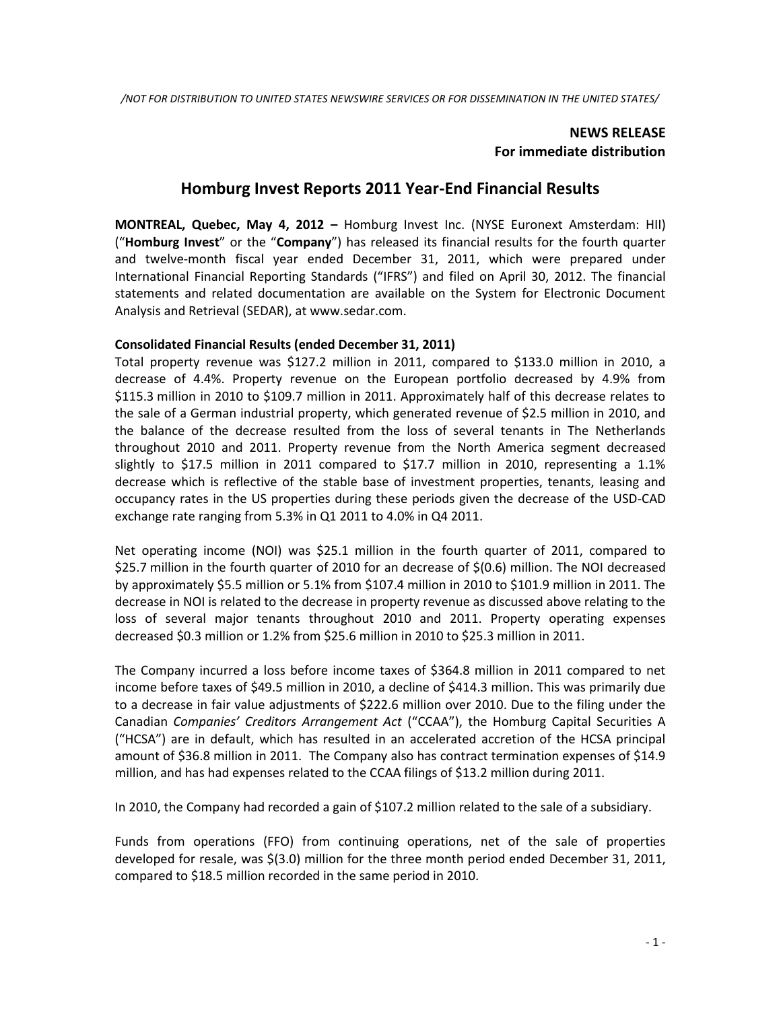# **NEWS RELEASE For immediate distribution**

# **Homburg Invest Reports 2011 Year-End Financial Results**

**MONTREAL, Quebec, May 4, 2012 –** Homburg Invest Inc. (NYSE Euronext Amsterdam: HII) ("**Homburg Invest**" or the "**Company**") has released its financial results for the fourth quarter and twelve-month fiscal year ended December 31, 2011, which were prepared under International Financial Reporting Standards ("IFRS") and filed on April 30, 2012. The financial statements and related documentation are available on the System for Electronic Document Analysis and Retrieval (SEDAR), at www.sedar.com.

# **Consolidated Financial Results (ended December 31, 2011)**

Total property revenue was \$127.2 million in 2011, compared to \$133.0 million in 2010, a decrease of 4.4%. Property revenue on the European portfolio decreased by 4.9% from \$115.3 million in 2010 to \$109.7 million in 2011. Approximately half of this decrease relates to the sale of a German industrial property, which generated revenue of \$2.5 million in 2010, and the balance of the decrease resulted from the loss of several tenants in The Netherlands throughout 2010 and 2011. Property revenue from the North America segment decreased slightly to \$17.5 million in 2011 compared to \$17.7 million in 2010, representing a 1.1% decrease which is reflective of the stable base of investment properties, tenants, leasing and occupancy rates in the US properties during these periods given the decrease of the USD-CAD exchange rate ranging from 5.3% in Q1 2011 to 4.0% in Q4 2011.

Net operating income (NOI) was \$25.1 million in the fourth quarter of 2011, compared to \$25.7 million in the fourth quarter of 2010 for an decrease of \$(0.6) million. The NOI decreased by approximately \$5.5 million or 5.1% from \$107.4 million in 2010 to \$101.9 million in 2011. The decrease in NOI is related to the decrease in property revenue as discussed above relating to the loss of several major tenants throughout 2010 and 2011. Property operating expenses decreased \$0.3 million or 1.2% from \$25.6 million in 2010 to \$25.3 million in 2011.

The Company incurred a loss before income taxes of \$364.8 million in 2011 compared to net income before taxes of \$49.5 million in 2010, a decline of \$414.3 million. This was primarily due to a decrease in fair value adjustments of \$222.6 million over 2010. Due to the filing under the Canadian *Companies' Creditors Arrangement Act* ("CCAA"), the Homburg Capital Securities A ("HCSA") are in default, which has resulted in an accelerated accretion of the HCSA principal amount of \$36.8 million in 2011. The Company also has contract termination expenses of \$14.9 million, and has had expenses related to the CCAA filings of \$13.2 million during 2011.

In 2010, the Company had recorded a gain of \$107.2 million related to the sale of a subsidiary.

Funds from operations (FFO) from continuing operations, net of the sale of properties developed for resale, was \$(3.0) million for the three month period ended December 31, 2011, compared to \$18.5 million recorded in the same period in 2010.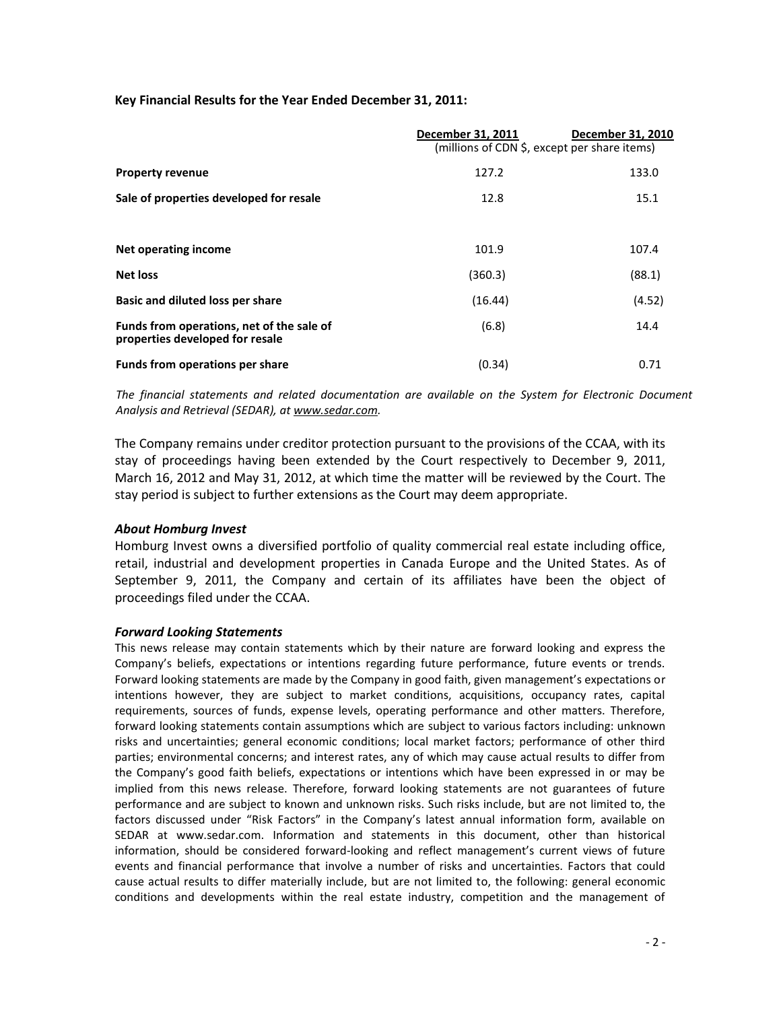# **Key Financial Results for the Year Ended December 31, 2011:**

|                                                                              | December 31, 2011<br>(millions of CDN \$, except per share items) | December 31, 2010 |
|------------------------------------------------------------------------------|-------------------------------------------------------------------|-------------------|
| <b>Property revenue</b>                                                      | 127.2                                                             | 133.0             |
| Sale of properties developed for resale                                      | 12.8                                                              | 15.1              |
|                                                                              |                                                                   |                   |
| <b>Net operating income</b>                                                  | 101.9                                                             | 107.4             |
| <b>Net loss</b>                                                              | (360.3)                                                           | (88.1)            |
| <b>Basic and diluted loss per share</b>                                      | (16.44)                                                           | (4.52)            |
| Funds from operations, net of the sale of<br>properties developed for resale | (6.8)                                                             | 14.4              |
| Funds from operations per share                                              | (0.34)                                                            | 0.71              |

*The financial statements and related documentation are available on the System for Electronic Document Analysis and Retrieval (SEDAR), at [www.sedar.com.](http://www.sedar.com/)*

The Company remains under creditor protection pursuant to the provisions of the CCAA, with its stay of proceedings having been extended by the Court respectively to December 9, 2011, March 16, 2012 and May 31, 2012, at which time the matter will be reviewed by the Court. The stay period is subject to further extensions as the Court may deem appropriate.

#### *About Homburg Invest*

Homburg Invest owns a diversified portfolio of quality commercial real estate including office, retail, industrial and development properties in Canada Europe and the United States. As of September 9, 2011, the Company and certain of its affiliates have been the object of proceedings filed under the CCAA.

#### *Forward Looking Statements*

This news release may contain statements which by their nature are forward looking and express the Company's beliefs, expectations or intentions regarding future performance, future events or trends. Forward looking statements are made by the Company in good faith, given management's expectations or intentions however, they are subject to market conditions, acquisitions, occupancy rates, capital requirements, sources of funds, expense levels, operating performance and other matters. Therefore, forward looking statements contain assumptions which are subject to various factors including: unknown risks and uncertainties; general economic conditions; local market factors; performance of other third parties; environmental concerns; and interest rates, any of which may cause actual results to differ from the Company's good faith beliefs, expectations or intentions which have been expressed in or may be implied from this news release. Therefore, forward looking statements are not guarantees of future performance and are subject to known and unknown risks. Such risks include, but are not limited to, the factors discussed under "Risk Factors" in the Company's latest annual information form, available on SEDAR at www.sedar.com. Information and statements in this document, other than historical information, should be considered forward-looking and reflect management's current views of future events and financial performance that involve a number of risks and uncertainties. Factors that could cause actual results to differ materially include, but are not limited to, the following: general economic conditions and developments within the real estate industry, competition and the management of